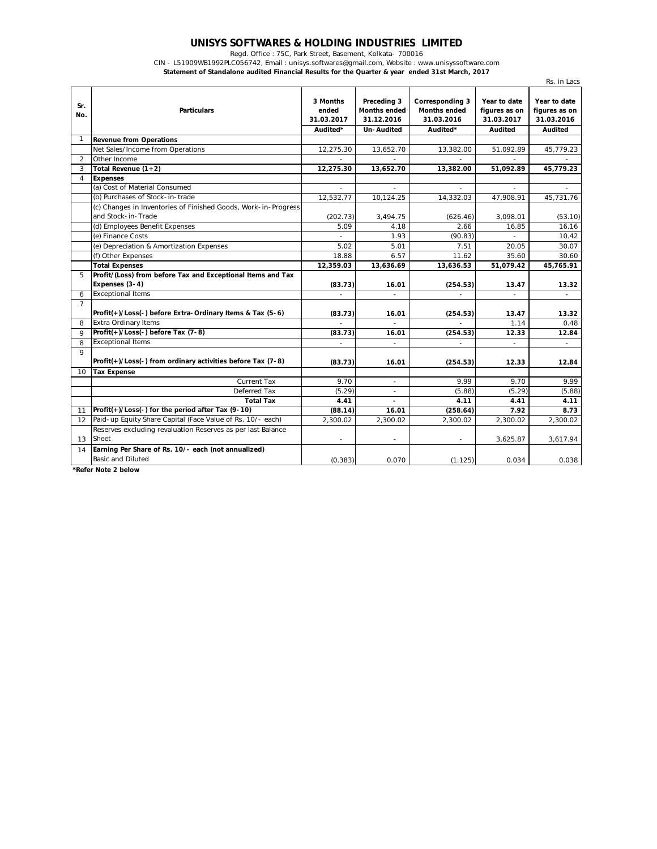## **UNISYS SOFTWARES & HOLDING INDUSTRIES LIMITED**

Regd. Office : 75C, Park Street, Basement, Kolkata- 700016

CIN - L51909WB1992PLC056742, Email : unisys.softwares@gmail.com, Website : www.unisyssoftware.com **Statement of Standalone audited Financial Results for the Quarter & year ended 31st March, 2017**

|                |                                                                                      |                                             |                                                                |                                                                  |                                                        | Rs. in Lacs                                            |
|----------------|--------------------------------------------------------------------------------------|---------------------------------------------|----------------------------------------------------------------|------------------------------------------------------------------|--------------------------------------------------------|--------------------------------------------------------|
| Sr.<br>No.     | <b>Particulars</b>                                                                   | 3 Months<br>ended<br>31.03.2017<br>Audited* | Preceding 3<br><b>Months ended</b><br>31.12.2016<br>Un-Audited | Corresponding 3<br><b>Months ended</b><br>31.03.2016<br>Audited* | Year to date<br>figures as on<br>31.03.2017<br>Audited | Year to date<br>figures as on<br>31.03.2016<br>Audited |
| 1              | <b>Revenue from Operations</b>                                                       |                                             |                                                                |                                                                  |                                                        |                                                        |
|                | Net Sales/Income from Operations                                                     | 12,275.30                                   | 13,652.70                                                      | 13,382.00                                                        | 51,092.89                                              | 45,779.23                                              |
| $\overline{2}$ | Other Income                                                                         |                                             |                                                                | $\sim$                                                           |                                                        |                                                        |
| 3              | Total Revenue $(1+2)$                                                                | 12,275.30                                   | 13,652.70                                                      | 13,382.00                                                        | 51,092.89                                              | 45,779.23                                              |
| 4              | <b>Expenses</b>                                                                      |                                             |                                                                |                                                                  |                                                        |                                                        |
|                | (a) Cost of Material Consumed                                                        |                                             |                                                                |                                                                  |                                                        |                                                        |
|                | (b) Purchases of Stock-in-trade                                                      | 12,532.77                                   | 10,124.25                                                      | 14,332.03                                                        | 47,908.91                                              | 45,731.76                                              |
|                | (c) Changes in Inventories of Finished Goods, Work-in-Progress<br>and Stock-in-Trade | (202.73)                                    | 3,494.75                                                       | (626.46)                                                         | 3,098.01                                               | (53.10)                                                |
|                | (d) Employees Benefit Expenses                                                       | 5.09                                        | 4.18                                                           | 2.66                                                             | 16.85                                                  | 16.16                                                  |
|                | (e) Finance Costs                                                                    |                                             | 1.93                                                           | (90.83)                                                          |                                                        | 10.42                                                  |
|                | (e) Depreciation & Amortization Expenses                                             | 5.02                                        | 5.01                                                           | 7.51                                                             | 20.05                                                  | 30.07                                                  |
|                | (f) Other Expenses                                                                   | 18.88                                       | 6.57                                                           | 11.62                                                            | 35.60                                                  | 30.60                                                  |
|                | <b>Total Expenses</b>                                                                | 12,359.03                                   | 13,636.69                                                      | 13,636.53                                                        | 51,079.42                                              | 45,765.91                                              |
| 5              | Profit/(Loss) from before Tax and Exceptional Items and Tax<br>Expenses (3-4)        | (83.73)                                     | 16.01                                                          | (254.53)                                                         | 13.47                                                  | 13.32                                                  |
| 6              | <b>Exceptional Items</b>                                                             | $\overline{\phantom{a}}$                    | $\sim$                                                         | ÷                                                                | ÷.                                                     | ÷                                                      |
| $\overline{7}$ | Profit(+)/Loss(-) before Extra-Ordinary Items & Tax (5-6)                            | (83.73)                                     | 16.01                                                          | (254.53)                                                         | 13.47                                                  | 13.32                                                  |
| 8              | <b>Extra Ordinary Items</b>                                                          |                                             | $\sim$                                                         |                                                                  | 1.14                                                   | 0.48                                                   |
| $\mathsf o$    | Profit(+)/Loss(-) before Tax (7-8)                                                   | (83.73)                                     | 16.01                                                          | (254.53)                                                         | 12.33                                                  | 12.84                                                  |
| 8              | <b>Exceptional Items</b>                                                             |                                             | $\bar{a}$                                                      |                                                                  |                                                        | ÷,                                                     |
| $\mathsf{Q}$   | Profit(+)/Loss(-) from ordinary activities before Tax (7-8)                          | (83.73)                                     | 16.01                                                          | (254.53)                                                         | 12.33                                                  | 12.84                                                  |
| 10             | <b>Tax Expense</b>                                                                   |                                             |                                                                |                                                                  |                                                        |                                                        |
|                | <b>Current Tax</b>                                                                   | 9.70                                        | $\sim$                                                         | 9.99                                                             | 9.70                                                   | 9.99                                                   |
|                | Deferred Tax                                                                         | (5.29)                                      | $\overline{\phantom{a}}$                                       | (5.88)                                                           | (5.29)                                                 | (5.88)                                                 |
|                | <b>Total Tax</b>                                                                     | 4.41                                        |                                                                | 4.11                                                             | 4.41                                                   | 4.11                                                   |
| 11             | Profit(+)/Loss(-) for the period after Tax (9-10)                                    | (88.14)                                     | 16.01                                                          | (258.64)                                                         | 7.92                                                   | 8.73                                                   |
| 12             | Paid-up Equity Share Capital (Face Value of Rs. 10/- each)                           | 2,300.02                                    | 2,300.02                                                       | 2,300.02                                                         | 2,300.02                                               | 2,300.02                                               |
| 13             | Reserves excluding revaluation Reserves as per last Balance<br>Sheet                 |                                             |                                                                |                                                                  | 3,625.87                                               | 3,617.94                                               |
| 14             | Earning Per Share of Rs. 10/- each (not annualized)<br><b>Basic and Diluted</b>      | (0.383)                                     | 0.070                                                          | (1.125)                                                          | 0.034                                                  | 0.038                                                  |

**\*Refer Note 2 below**